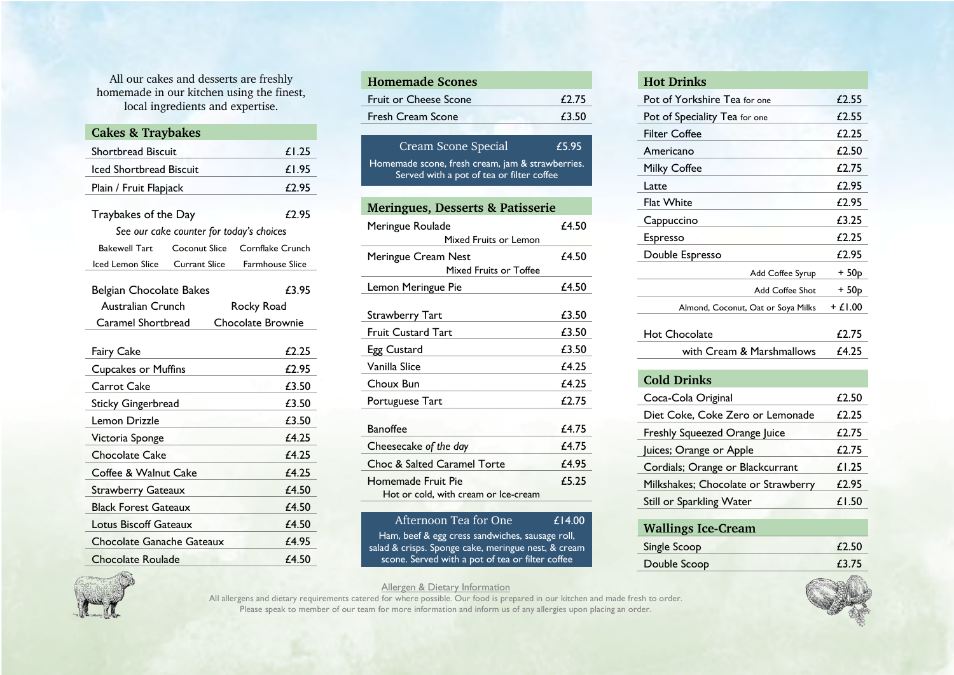All our cakes and desserts are freshly homemade in our kitchen using the finest, local ingredients and expertise.

| <b>Cakes &amp; Traybakes</b>            |                                          |                        |
|-----------------------------------------|------------------------------------------|------------------------|
| <b>Shortbread Biscuit</b>               | £1.25                                    |                        |
| <b>Iced Shortbread Biscuit</b>          |                                          | £1.95                  |
| Plain / Fruit Flapjack                  |                                          | £2.95                  |
|                                         |                                          |                        |
| Traybakes of the Day                    |                                          | £2.95                  |
|                                         | See our cake counter for today's choices |                        |
| <b>Bakewell Tart</b>                    | <b>Coconut Slice</b>                     | Cornflake Crunch       |
| Iced Lemon Slice                        | <b>Currant Slice</b>                     | <b>Farmhouse Slice</b> |
| <b>Belgian Chocolate Bakes</b>          |                                          | £3.95                  |
| Australian Crunch<br>Rocky Road         |                                          |                        |
| Caramel Shortbread<br>Chocolate Brownie |                                          |                        |
|                                         |                                          |                        |
| <b>Fairy Cake</b>                       |                                          | £2.25                  |
| <b>Cupcakes or Muffins</b>              |                                          | £2.95                  |
| Carrot Cake                             |                                          | £3.50                  |
| <b>Sticky Gingerbread</b>               |                                          | £3.50                  |
| Lemon Drizzle                           | £3.50                                    |                        |
| Victoria Sponge                         | £4.25                                    |                        |
| <b>Chocolate Cake</b>                   |                                          | £4.25                  |
| Coffee & Walnut Cake                    |                                          | £4.25                  |
| <b>Strawberry Gateaux</b>               |                                          | £4.50                  |
| <b>Black Forest Gateaux</b>             | £4.50                                    |                        |
| Lotus Biscoff Gateaux                   | £4.50                                    |                        |
| Chocolate Ganache Gateaux               | £4.95                                    |                        |
| Chocolate Roulade                       | £4.50                                    |                        |

| <b>Homemade Scones</b>                                                                        |       |  |  |
|-----------------------------------------------------------------------------------------------|-------|--|--|
| <b>Fruit or Cheese Scone</b>                                                                  | £2.75 |  |  |
| <b>Fresh Cream Scone</b>                                                                      | £3.50 |  |  |
|                                                                                               |       |  |  |
| <b>Cream Scone Special</b>                                                                    | £5.95 |  |  |
| Homemade scone, fresh cream, jam & strawberries.<br>Served with a pot of tea or filter coffee |       |  |  |
| <b>Meringues, Desserts &amp; Patisserie</b>                                                   |       |  |  |
| Meringue Roulade<br>Mixed Fruits or Lemon                                                     | f4.50 |  |  |
| Meringue Cream Nest<br>Mixed Fruits or Toffee                                                 | £4.50 |  |  |
| Lemon Meringue Pie                                                                            | £4.50 |  |  |
| Strawberry Tart                                                                               | £3.50 |  |  |
| <b>Fruit Custard Tart</b>                                                                     | £3.50 |  |  |
| Egg Custard                                                                                   | £3.50 |  |  |
| Vanilla Slice                                                                                 | £4.25 |  |  |
| Choux Bun                                                                                     | £4.25 |  |  |
| Portuguese Tart                                                                               | £2.75 |  |  |
| <b>Banoffee</b>                                                                               | £4.75 |  |  |
| Cheesecake of the day                                                                         | £4.75 |  |  |
| Choc & Salted Caramel Torte                                                                   | £4.95 |  |  |
| Homemade Fruit Pie<br>Hot or cold, with cream or Ice-cream                                    | £5.25 |  |  |

Afternoon Tea for One £14.00 Ham, beef & egg cress sandwiches, sausage roll, salad & crisps. Sponge cake, meringue nest, & cream scone. Served with a pot of tea or filter coffee

## **Hot Drinks** Pot of Yorkshire Tea for one 62.55 Pot of Speciality Tea for one 62.55 Filter Coffee **E2.25** Americano £2.50 Milky Coffee **£2.75** Latte  $\epsilon$  2.95 Flat White  $f(2.95)$ Cappuccino £3.25 Espresso £2.25 Double Espresso £2.95  $Add$  Coffee Syrup  $+50p$ Add Coffee Shot + 50p Almond, Coconut, Oat or Soya Milks  $+ f 1.00$ Hot Chocolate **E2.75** with Cream & Marshmallows £4.25

| <b>Cold Drinks</b>                  |       |
|-------------------------------------|-------|
| Coca-Cola Original                  | £2.50 |
| Diet Coke, Coke Zero or Lemonade    | £2.25 |
| Freshly Squeezed Orange Juice       | £2.75 |
| Juices; Orange or Apple             | £2.75 |
| Cordials; Orange or Blackcurrant    | £1.25 |
| Milkshakes; Chocolate or Strawberry | £2.95 |
| <b>Still or Sparkling Water</b>     | £1.50 |
|                                     |       |

| <b>Wallings Ice-Cream</b> |       |
|---------------------------|-------|
| Single Scoop              | £2.50 |
| Double Scoop              | £3.75 |



Allergen & Dietary Information

All allergens and dietary requirements catered for where possible. Our food is prepared in our kitchen and made fresh to order. Please speak to member of our team for more information and inform us of any allergies upon placing an order.